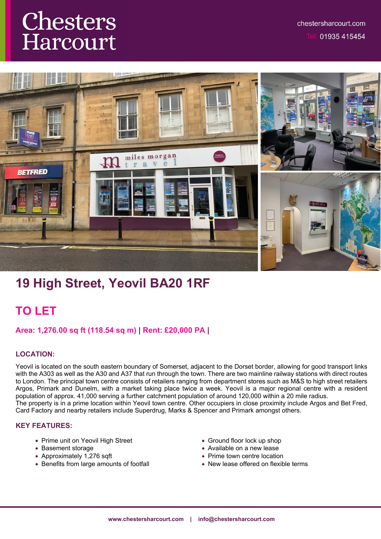# Chesters Harcourt



# **19 High Street, Yeovil BA20 1RF**

## **TO LET**

## **Area: 1,276.00 sq ft (118.54 sq m) | Rent: £20,000 PA |**

## **LOCATION:**

Yeovil is located on the south eastern boundary of Somerset, adjacent to the Dorset border, allowing for good transport links with the A303 as well as the A30 and A37 that run through the town. There are two mainline railway stations with direct routes to London. The principal town centre consists of retailers ranging from department stores such as M&S to high street retailers Argos, Primark and Dunelm, with a market taking place twice a week. Yeovil is a major regional centre with a resident population of approx. 41,000 serving a further catchment population of around 120,000 within a 20 mile radius. The property is in a prime location within Yeovil town centre. Other occupiers in close proximity include Argos and Bet Fred, Card Factory and nearby retailers include Superdrug, Marks & Spencer and Primark amongst others.

#### **KEY FEATURES:**

- Prime unit on Yeovil High Street
- Basement storage
- Approximately 1,276 sqft
- Benefits from large amounts of footfall
- Ground floor lock up shop
- Available on a new lease
- Prime town centre location
- New lease offered on flexible terms